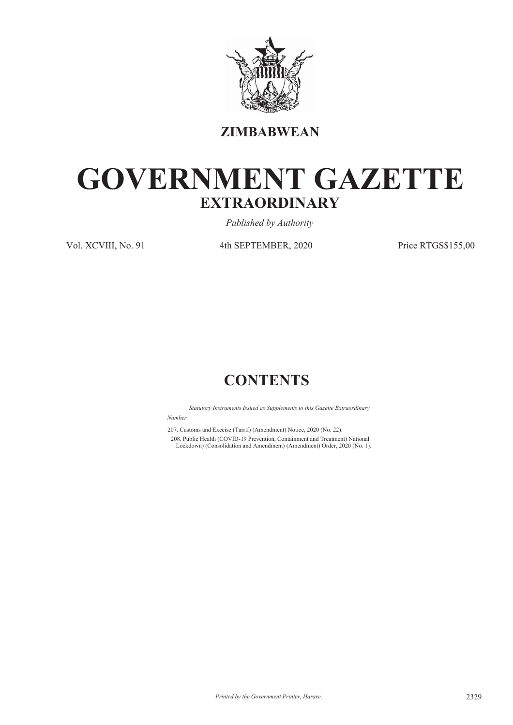

**ZIMBABWEAN**

# **GOVERNMENT GAZETTE EXTRAORDINARY**

*Published by Authority*

Vol. XCVIII, No. 91 4th SEPTEMBER, 2020 Price RTGS\$155,00

## **CONTENTS**

*Statutory Instruments Issued as Supplements to this Gazette Extraordinary Number*

207. Customs and Execise (Tarrif) (Amendment) Notice, 2020 (No. 22). 208. Public Health (COVID-19 Prevention, Containment and Treatment) National Lockdown) (Consolidation and Amendment) (Amendment) Order, 2020 (No. 1).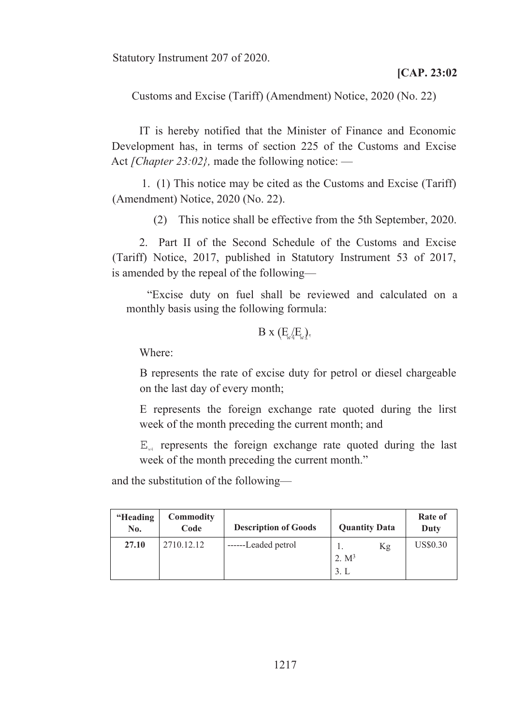Statutory Instrument 207 of 2020.

Customs and Excise (Tariff) (Amendment) Notice, 2020 (No. 22)

IT is hereby notified that the Minister of Finance and Economic Development has, in terms of section 225 of the Customs and Excise Act *[Chapter 23:02},* made the following notice: —

1. (1) This notice may be cited as the Customs and Excise (Tariff) (Amendment) Notice, 2020 (No. 22).

(2) This notice shall be effective from the 5th September, 2020.

2. Part II of the Second Schedule of the Customs and Excise (Tariff) Notice, 2017, published in Statutory Instrument 53 of 2017, is amended by the repeal of the following—

"Excise duty on fuel shall be reviewed and calculated on a monthly basis using the following formula:

$$
B\;x\;(E_{\!\scriptscriptstyle W4}\!E_{\!\scriptscriptstyle W})_{\!\scriptscriptstyle\gamma}
$$

Where:

B represents the rate of excise duty for petrol or diesel chargeable on the last day of every month;

E represents the foreign exchange rate quoted during the lirst week of the month preceding the current month; and

 $E_{\mu}$  represents the foreign exchange rate quoted during the last week of the month preceding the current month."

and the substitution of the following—

| "Heading<br>No. | Commodity<br>Code | <b>Description of Goods</b> | <b>Quantity Data</b>         | Rate of<br>Duty |
|-----------------|-------------------|-----------------------------|------------------------------|-----------------|
| 27.10           | 2710.12.12        | ------Leaded petrol         | Kg<br>1.<br>2. $M^3$<br>3. L | <b>US\$0.30</b> |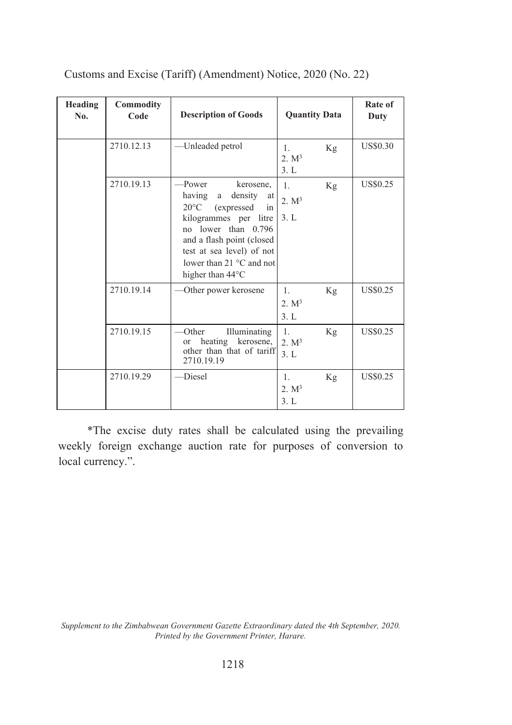| Heading<br>No. | Commodity<br>Code | <b>Description of Goods</b>                                                                                                                                                                                                                          | <b>Quantity Data</b>                              | Rate of<br>Duty |
|----------------|-------------------|------------------------------------------------------------------------------------------------------------------------------------------------------------------------------------------------------------------------------------------------------|---------------------------------------------------|-----------------|
|                | 2710.12.13        | -Unleaded petrol                                                                                                                                                                                                                                     | $\mathbf{1}$ .<br>Kg<br>2. M <sup>3</sup><br>3. L | <b>US\$0.30</b> |
|                | 2710.19.13        | -Power<br>kerosene,<br>having<br>density<br>a<br>at<br>$20^{\circ}$ C<br>(expressed)<br>in<br>kilogrammes per litre<br>no lower than 0.796<br>and a flash point (closed<br>test at sea level) of not<br>lower than 21 °C and not<br>higher than 44°C | $\mathbf{1}$ .<br>Kg<br>2. M <sup>3</sup><br>3. L | <b>US\$0.25</b> |
|                | 2710.19.14        | Other power kerosene                                                                                                                                                                                                                                 | $\mathbf{1}$ .<br>Kg<br>2. M <sup>3</sup><br>3. L | <b>US\$0.25</b> |
|                | 2710.19.15        | Illuminating<br>Other<br>heating kerosene,<br><sub>or</sub><br>other than that of tariff<br>2710.19.19                                                                                                                                               | $\mathbf{1}$ .<br>Κg<br>2. M <sup>3</sup><br>3. L | <b>US\$0.25</b> |
|                | 2710.19.29        | -Diesel                                                                                                                                                                                                                                              | 1.<br>Kg<br>2. M <sup>3</sup><br>3. L             | <b>US\$0.25</b> |

Customs and Excise (Tariff) (Amendment) Notice, 2020 (No. 22)

\*The excise duty rates shall be calculated using the prevailing weekly foreign exchange auction rate for purposes of conversion to local currency.".

*Supplement to the Zimbabwean Government Gazette Extraordinary dated the 4th September, 2020. Printed by the Government Printer, Harare.*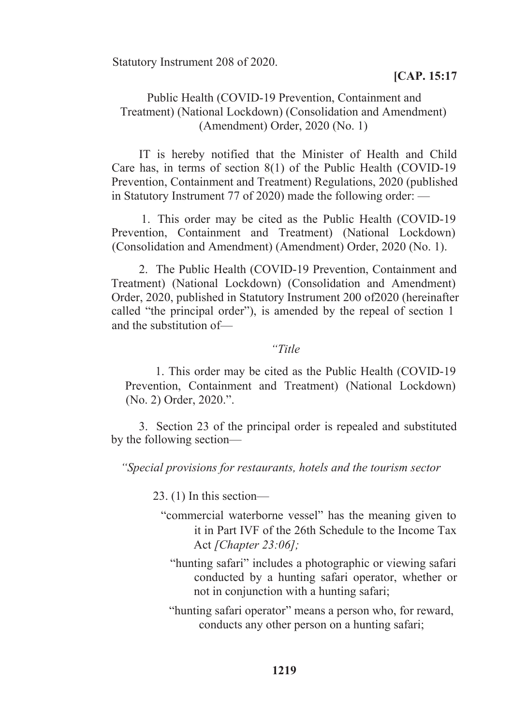Statutory Instrument 208 of 2020.

#### **[CAP. 15:17**

#### Public Health (COVID-19 Prevention, Containment and Treatment) (National Lockdown) (Consolidation and Amendment) (Amendment) Order, 2020 (No. 1)

IT is hereby notified that the Minister of Health and Child Care has, in terms of section 8(1) of the Public Health (COVID-19 Prevention, Containment and Treatment) Regulations, 2020 (published in Statutory Instrument 77 of 2020) made the following order: —

1. This order may be cited as the Public Health (COVID-19 Prevention, Containment and Treatment) (National Lockdown) (Consolidation and Amendment) (Amendment) Order, 2020 (No. 1).

2. The Public Health (COVID-19 Prevention, Containment and Treatment) (National Lockdown) (Consolidation and Amendment) Order, 2020, published in Statutory Instrument 200 of2020 (hereinafter called "the principal order"), is amended by the repeal of section 1 and the substitution of—

#### *"Title*

1. This order may be cited as the Public Health (COVID-19 Prevention, Containment and Treatment) (National Lockdown) (No. 2) Order, 2020.".

3. Section 23 of the principal order is repealed and substituted by the following section—

*"Special provisions for restaurants, hotels and the tourism sector*

23. (1) In this section—

- "commercial waterborne vessel" has the meaning given to it in Part IVF of the 26th Schedule to the Income Tax Act *[Chapter 23:06];*
	- "hunting safari" includes a photographic or viewing safari conducted by a hunting safari operator, whether or not in conjunction with a hunting safari;

"hunting safari operator" means a person who, for reward, conducts any other person on a hunting safari;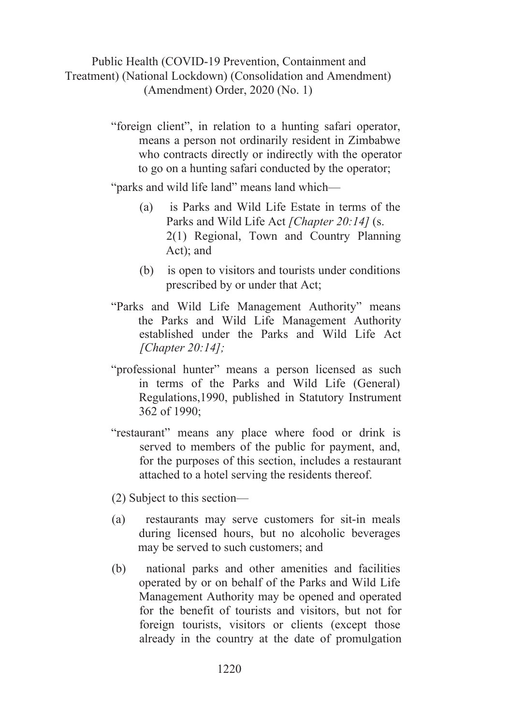### Public Health (COVID-19 Prevention, Containment and Treatment) (National Lockdown) (Consolidation and Amendment) (Amendment) Order, 2020 (No. 1)

"foreign client", in relation to a hunting safari operator, means a person not ordinarily resident in Zimbabwe who contracts directly or indirectly with the operator to go on a hunting safari conducted by the operator;

"parks and wild life land" means land which—

- (a) is Parks and Wild Life Estate in terms of the Parks and Wild Life Act *[Chapter 20:14]* (s. 2(1) Regional, Town and Country Planning Act); and
- (b) is open to visitors and tourists under conditions prescribed by or under that Act;
- "Parks and Wild Life Management Authority" means the Parks and Wild Life Management Authority established under the Parks and Wild Life Act *[Chapter 20:14];*
- "professional hunter" means a person licensed as such in terms of the Parks and Wild Life (General) Regulations,1990, published in Statutory Instrument 362 of 1990;
- "restaurant" means any place where food or drink is served to members of the public for payment, and, for the purposes of this section, includes a restaurant attached to a hotel serving the residents thereof.
- (2) Subject to this section—
- (a) restaurants may serve customers for sit-in meals during licensed hours, but no alcoholic beverages may be served to such customers; and
- (b) national parks and other amenities and facilities operated by or on behalf of the Parks and Wild Life Management Authority may be opened and operated for the benefit of tourists and visitors, but not for foreign tourists, visitors or clients (except those already in the country at the date of promulgation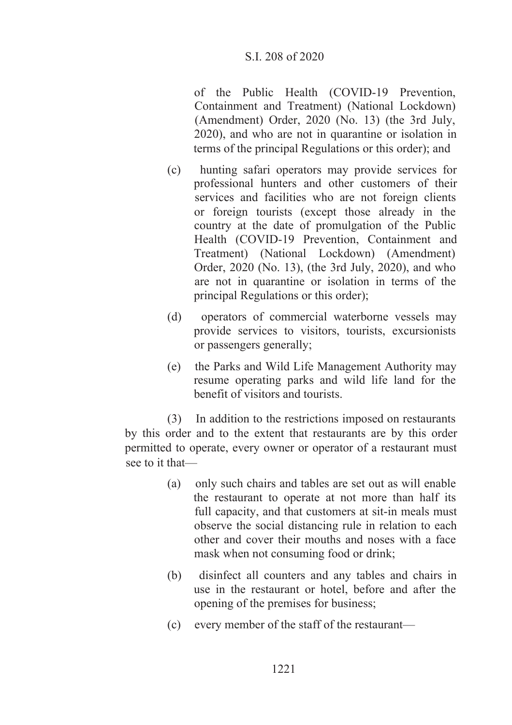of the Public Health (COVID-19 Prevention, Containment and Treatment) (National Lockdown) (Amendment) Order, 2020 (No. 13) (the 3rd July, 2020), and who are not in quarantine or isolation in terms of the principal Regulations or this order); and

- (c) hunting safari operators may provide services for professional hunters and other customers of their services and facilities who are not foreign clients or foreign tourists (except those already in the country at the date of promulgation of the Public Health (COVID-19 Prevention, Containment and Treatment) (National Lockdown) (Amendment) Order, 2020 (No. 13), (the 3rd July, 2020), and who are not in quarantine or isolation in terms of the principal Regulations or this order);
- (d) operators of commercial waterborne vessels may provide services to visitors, tourists, excursionists or passengers generally;
- (e) the Parks and Wild Life Management Authority may resume operating parks and wild life land for the benefit of visitors and tourists.

(3) In addition to the restrictions imposed on restaurants by this order and to the extent that restaurants are by this order permitted to operate, every owner or operator of a restaurant must see to it that—

- (a) only such chairs and tables are set out as will enable the restaurant to operate at not more than half its full capacity, and that customers at sit-in meals must observe the social distancing rule in relation to each other and cover their mouths and noses with a face mask when not consuming food or drink;
- (b) disinfect all counters and any tables and chairs in use in the restaurant or hotel, before and after the opening of the premises for business;
- (c) every member of the staff of the restaurant—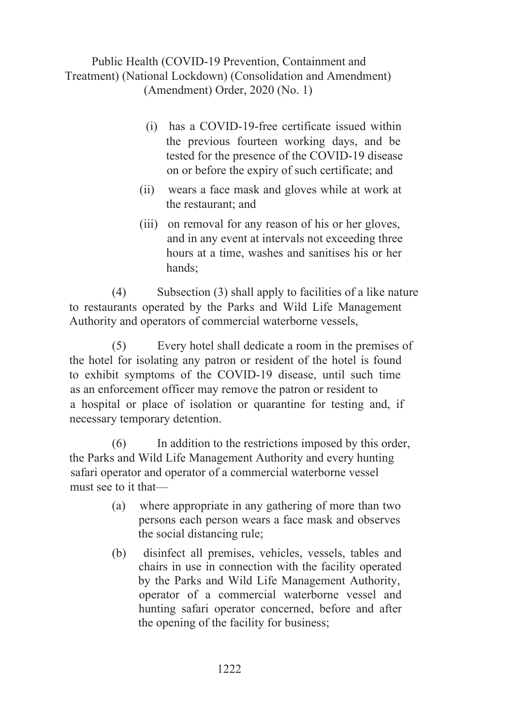Public Health (COVID-19 Prevention, Containment and Treatment) (National Lockdown) (Consolidation and Amendment) (Amendment) Order, 2020 (No. 1)

- (i) has a COVID-19-free certificate issued within the previous fourteen working days, and be tested for the presence of the COVID-19 disease on or before the expiry of such certificate; and
- (ii) wears a face mask and gloves while at work at the restaurant; and
- (iii) on removal for any reason of his or her gloves, and in any event at intervals not exceeding three hours at a time, washes and sanitises his or her hands;

(4) Subsection (3) shall apply to facilities of a like nature to restaurants operated by the Parks and Wild Life Management Authority and operators of commercial waterborne vessels,

(5) Every hotel shall dedicate a room in the premises of the hotel for isolating any patron or resident of the hotel is found to exhibit symptoms of the COVID-19 disease, until such time as an enforcement officer may remove the patron or resident to a hospital or place of isolation or quarantine for testing and, if necessary temporary detention.

(6) In addition to the restrictions imposed by this order, the Parks and Wild Life Management Authority and every hunting safari operator and operator of a commercial waterborne vessel must see to it that—

- (a) where appropriate in any gathering of more than two persons each person wears a face mask and observes the social distancing rule;
- (b) disinfect all premises, vehicles, vessels, tables and chairs in use in connection with the facility operated by the Parks and Wild Life Management Authority, operator of a commercial waterborne vessel and hunting safari operator concerned, before and after the opening of the facility for business;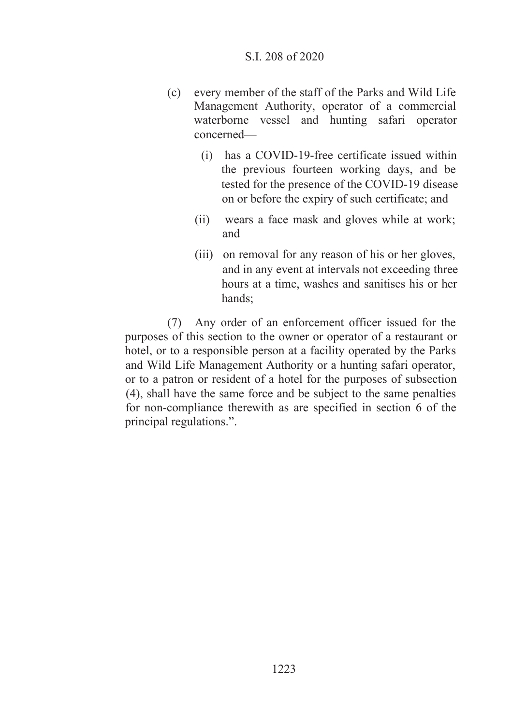- (c) every member of the staff of the Parks and Wild Life Management Authority, operator of a commercial waterborne vessel and hunting safari operator concerned—
	- (i) has a COVID-19-free certificate issued within the previous fourteen working days, and be tested for the presence of the COVID-19 disease on or before the expiry of such certificate; and
	- (ii) wears a face mask and gloves while at work; and
	- (iii) on removal for any reason of his or her gloves, and in any event at intervals not exceeding three hours at a time, washes and sanitises his or her hands;

(7) Any order of an enforcement officer issued for the purposes of this section to the owner or operator of a restaurant or hotel, or to a responsible person at a facility operated by the Parks and Wild Life Management Authority or a hunting safari operator, or to a patron or resident of a hotel for the purposes of subsection (4), shall have the same force and be subject to the same penalties for non-compliance therewith as are specified in section 6 of the principal regulations.".